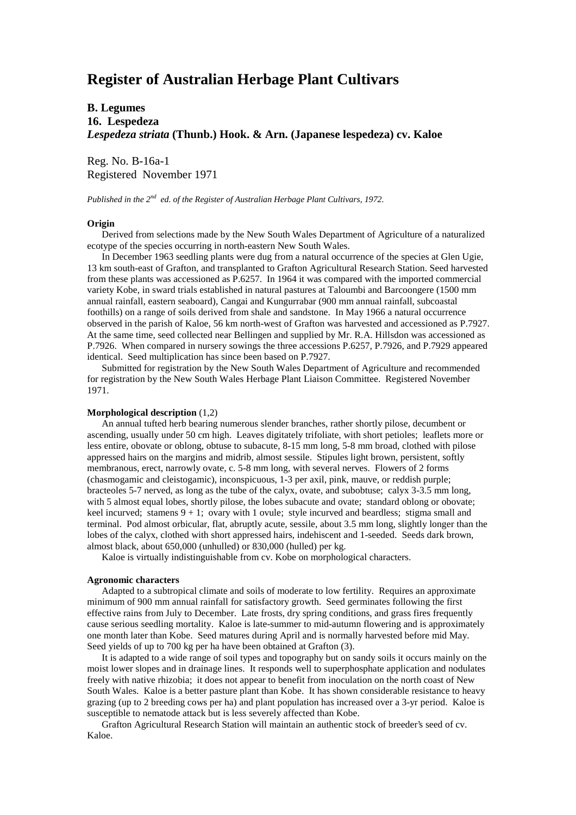# **Register of Australian Herbage Plant Cultivars**

# **B. Legumes 16. Lespedeza** *Lespedeza striata* **(Thunb.) Hook. & Arn. (Japanese lespedeza) cv. Kaloe**

Reg. No. B-16a-1 Registered November 1971

*Published in the 2nd ed. of the Register of Australian Herbage Plant Cultivars, 1972.*

## **Origin**

 Derived from selections made by the New South Wales Department of Agriculture of a naturalized ecotype of the species occurring in north-eastern New South Wales.

 In December 1963 seedling plants were dug from a natural occurrence of the species at Glen Ugie, 13 km south-east of Grafton, and transplanted to Grafton Agricultural Research Station. Seed harvested from these plants was accessioned as P.6257. In 1964 it was compared with the imported commercial variety Kobe, in sward trials established in natural pastures at Taloumbi and Barcoongere (1500 mm annual rainfall, eastern seaboard), Cangai and Kungurrabar (900 mm annual rainfall, subcoastal foothills) on a range of soils derived from shale and sandstone. In May 1966 a natural occurrence observed in the parish of Kaloe, 56 km north-west of Grafton was harvested and accessioned as P.7927. At the same time, seed collected near Bellingen and supplied by Mr. R.A. Hillsdon was accessioned as P.7926. When compared in nursery sowings the three accessions P.6257, P.7926, and P.7929 appeared identical. Seed multiplication has since been based on P.7927.

 Submitted for registration by the New South Wales Department of Agriculture and recommended for registration by the New South Wales Herbage Plant Liaison Committee. Registered November 1971.

#### **Morphological description** (1,2)

 An annual tufted herb bearing numerous slender branches, rather shortly pilose, decumbent or ascending, usually under 50 cm high. Leaves digitately trifoliate, with short petioles; leaflets more or less entire, obovate or oblong, obtuse to subacute, 8-15 mm long, 5-8 mm broad, clothed with pilose appressed hairs on the margins and midrib, almost sessile. Stipules light brown, persistent, softly membranous, erect, narrowly ovate, c. 5-8 mm long, with several nerves. Flowers of 2 forms (chasmogamic and cleistogamic), inconspicuous, 1-3 per axil, pink, mauve, or reddish purple; bracteoles 5-7 nerved, as long as the tube of the calyx, ovate, and subobtuse; calyx 3-3.5 mm long, with 5 almost equal lobes, shortly pilose, the lobes subacute and ovate; standard oblong or obovate; keel incurved; stamens  $9 + 1$ ; ovary with 1 ovule; style incurved and beardless; stigma small and terminal. Pod almost orbicular, flat, abruptly acute, sessile, about 3.5 mm long, slightly longer than the lobes of the calyx, clothed with short appressed hairs, indehiscent and 1-seeded. Seeds dark brown, almost black, about 650,000 (unhulled) or 830,000 (hulled) per kg.

Kaloe is virtually indistinguishable from cv. Kobe on morphological characters.

#### **Agronomic characters**

 Adapted to a subtropical climate and soils of moderate to low fertility. Requires an approximate minimum of 900 mm annual rainfall for satisfactory growth. Seed germinates following the first effective rains from July to December. Late frosts, dry spring conditions, and grass fires frequently cause serious seedling mortality. Kaloe is late-summer to mid-autumn flowering and is approximately one month later than Kobe. Seed matures during April and is normally harvested before mid May. Seed yields of up to 700 kg per ha have been obtained at Grafton (3).

 It is adapted to a wide range of soil types and topography but on sandy soils it occurs mainly on the moist lower slopes and in drainage lines. It responds well to superphosphate application and nodulates freely with native rhizobia; it does not appear to benefit from inoculation on the north coast of New South Wales. Kaloe is a better pasture plant than Kobe. It has shown considerable resistance to heavy grazing (up to 2 breeding cows per ha) and plant population has increased over a 3-yr period. Kaloe is susceptible to nematode attack but is less severely affected than Kobe.

 Grafton Agricultural Research Station will maintain an authentic stock of breeder's seed of cv. Kaloe.